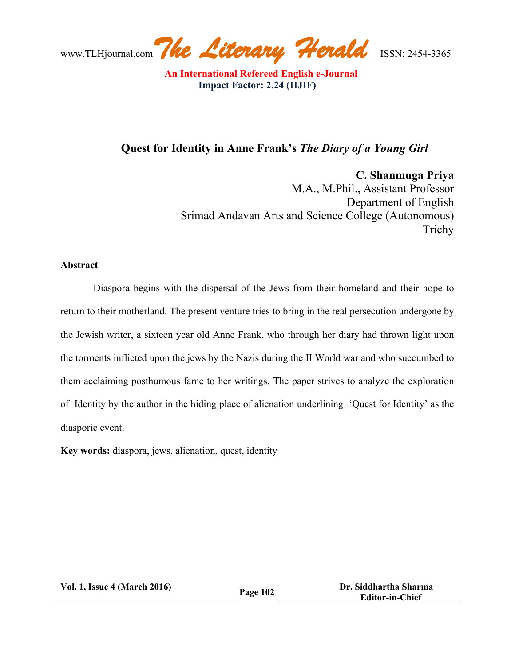# **Quest for Identity in Anne Frank's** *The Diary of a Young Girl*

**C. Shanmuga Priya**

M.A., M.Phil., Assistant Professor Department of English Srimad Andavan Arts and Science College (Autonomous) Trichy

#### **Abstract**

Diaspora begins with the dispersal of the Jews from their homeland and their hope to return to their motherland. The present venture tries to bring in the real persecution undergone by the Jewish writer, a sixteen year old Anne Frank, who through her diary had thrown light upon the torments inflicted upon the jews by the Nazis during the II World war and who succumbed to them acclaiming posthumous fame to her writings. The paper strives to analyze the exploration of Identity by the author in the hiding place of alienation underlining 'Quest for Identity' as the diasporic event.

**Key words:** diaspora, jews, alienation, quest, identity

**Vol. 1, Issue <sup>4</sup> (March 2016) Page <sup>102</sup> Dr. Siddhartha Sharma Editor-in-Chief**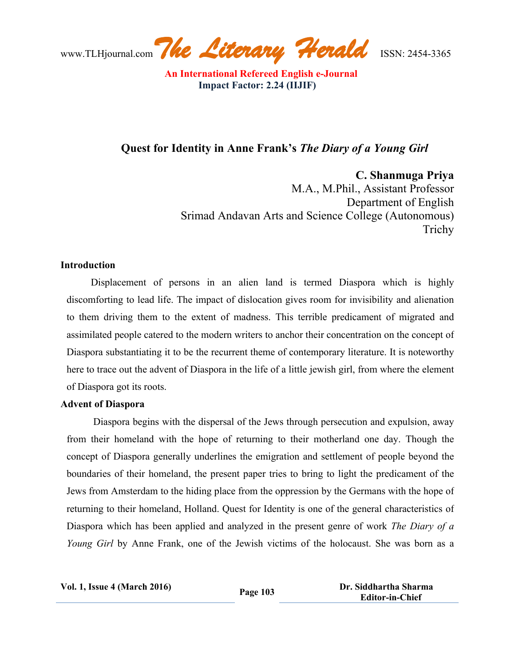## **Quest for Identity in Anne Frank's** *The Diary of a Young Girl*

**C. Shanmuga Priya**

M.A., M.Phil., Assistant Professor Department of English Srimad Andavan Arts and Science College (Autonomous) Trichy

#### **Introduction**

Displacement of persons in an alien land is termed Diaspora which is highly discomforting to lead life. The impact of dislocation gives room for invisibility and alienation to them driving them to the extent of madness. This terrible predicament of migrated and assimilated people catered to the modern writers to anchor their concentration on the concept of Diaspora substantiating it to be the recurrent theme of contemporary literature. It is noteworthy here to trace out the advent of Diaspora in the life of a little jewish girl, from where the element of Diaspora got its roots.

#### **Advent of Diaspora**

Diaspora begins with the dispersal of the Jews through persecution and expulsion, away from their homeland with the hope of returning to their motherland one day. Though the concept of Diaspora generally underlines the emigration and settlement of people beyond the boundaries of their homeland, the present paper tries to bring to light the predicament of the Jews from Amsterdam to the hiding place from the oppression by the Germans with the hope of returning to their homeland, Holland. Quest for Identity is one of the general characteristics of Diaspora which has been applied and analyzed in the present genre of work *The Diary of a Young Girl* by Anne Frank, one of the Jewish victims of the holocaust. She was born as a

**Vol. 1, Issue <sup>4</sup> (March 2016) Page <sup>103</sup> Dr. Siddhartha Sharma Editor-in-Chief**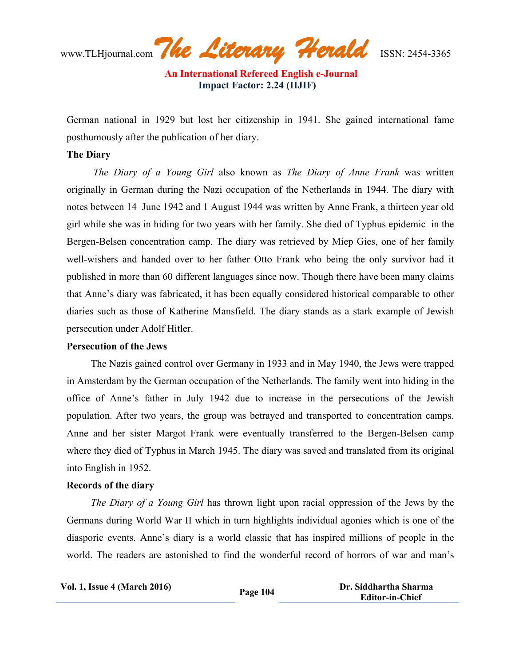www.TLHjournal.com*The Literary Herald*ISSN: 2454-3365

German national in 1929 but lost her citizenship in 1941. She gained international fame posthumously after the publication of her diary.

#### **The Diary**

*The Diary of a Young Girl* also known as *The Diary of Anne Frank* was written originally in German during the Nazi occupation of the Netherlands in 1944. The diary with notes between 14 June 1942 and 1 August 1944 was written by Anne Frank, a thirteen year old girl while she was in hiding for two years with her family. She died of Typhus epidemic in the Bergen-Belsen concentration camp. The diary was retrieved by Miep Gies, one of her family well-wishers and handed over to her father Otto Frank who being the only survivor had it published in more than 60 different languages since now. Though there have been many claims that Anne's diary was fabricated, it has been equally considered historical comparable to other diaries such as those of Katherine Mansfield. The diary stands as a stark example of Jewish persecution under Adolf Hitler.

#### **Persecution of the Jews**

The Nazis gained control over Germany in 1933 and in May 1940, the Jews were trapped in Amsterdam by the German occupation of the Netherlands. The family went into hiding in the office of Anne's father in July 1942 due to increase in the persecutions of the Jewish population. After two years, the group was betrayed and transported to concentration camps. Anne and her sister Margot Frank were eventually transferred to the Bergen-Belsen camp where they died of Typhus in March 1945. The diary was saved and translated from its original into English in 1952.

#### **Records of the diary**

*The Diary of a Young Girl* has thrown light upon racial oppression of the Jews by the Germans during World War II which in turn highlights individual agonies which is one of the diasporic events. Anne's diary is a world classic that has inspired millions of people in the world. The readers are astonished to find the wonderful record of horrors of war and man's

**Vol. 1, Issue <sup>4</sup> (March 2016) Page <sup>104</sup> Dr. Siddhartha Sharma Editor-in-Chief**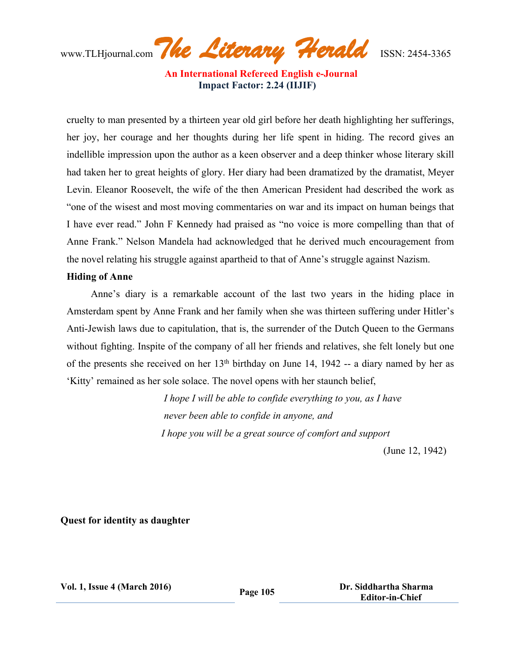www.TLHjournal.com*The Literary Herald*ISSN: 2454-3365

cruelty to man presented by a thirteen year old girl before her death highlighting her sufferings, her joy, her courage and her thoughts during her life spent in hiding. The record gives an indellible impression upon the author as a keen observer and a deep thinker whose literary skill had taken her to great heights of glory. Her diary had been dramatized by the dramatist, Meyer Levin. Eleanor Roosevelt, the wife of the then American President had described the work as "one of the wisest and most moving commentaries on war and its impact on human beings that I have ever read." John F Kennedy had praised as "no voice is more compelling than that of Anne Frank." Nelson Mandela had acknowledged that he derived much encouragement from the novel relating his struggle against apartheid to that of Anne's struggle against Nazism.

#### **Hiding of Anne**

Anne's diary is a remarkable account of the last two years in the hiding place in Amsterdam spent by Anne Frank and her family when she was thirteen suffering under Hitler's Anti-Jewish laws due to capitulation, that is, the surrender of the Dutch Queen to the Germans without fighting. Inspite of the company of all her friends and relatives, she felt lonely but one of the presents she received on her  $13<sup>th</sup>$  birthday on June 14, 1942 -- a diary named by her as 'Kitty' remained as her sole solace. The novel opens with her staunch belief,

> *I hope I will be able to confide everything to you, as I have never been able to confide in anyone, and I hope you will be a great source of comfort and support*

> > (June 12, 1942)

**Quest for identity as daughter**

**Vol. 1, Issue <sup>4</sup> (March 2016) Page <sup>105</sup> Dr. Siddhartha Sharma Editor-in-Chief**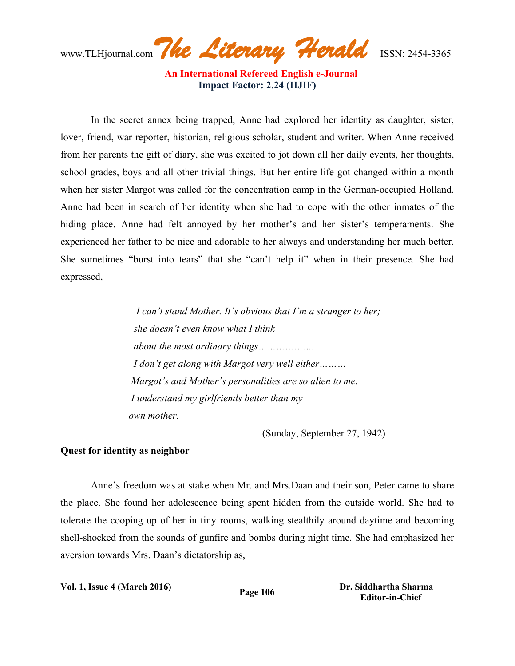www.TLHjournal.com*The Literary Herald*ISSN: 2454-3365

 **An International Refereed English e-Journal Impact Factor: 2.24 (IIJIF)**

In the secret annex being trapped, Anne had explored her identity as daughter, sister, lover, friend, war reporter, historian, religious scholar, student and writer. When Anne received from her parents the gift of diary, she was excited to jot down all her daily events, her thoughts, school grades, boys and all other trivial things. But her entire life got changed within a month when her sister Margot was called for the concentration camp in the German-occupied Holland. Anne had been in search of her identity when she had to cope with the other inmates of the hiding place. Anne had felt annoyed by her mother's and her sister's temperaments. She experienced her father to be nice and adorable to her always and understanding her much better. She sometimes "burst into tears" that she "can't help it" when in their presence. She had expressed,

> *I can't stand Mother. It's obvious that I'm a stranger to her; she doesn't even know what I think about the most ordinary things………………. I don't get along with Margot very well either……… Margot's and Mother's personalities are so alien to me. I understand my girlfriends better than my own mother.*

> > (Sunday, September 27, 1942)

#### **Quest for identity as neighbor**

Anne's freedom was at stake when Mr. and Mrs.Daan and their son, Peter came to share the place. She found her adolescence being spent hidden from the outside world. She had to tolerate the cooping up of her in tiny rooms, walking stealthily around daytime and becoming shell-shocked from the sounds of gunfire and bombs during night time. She had emphasized her aversion towards Mrs. Daan's dictatorship as,

| <b>Vol. 1, Issue 4 (March 2016)</b> | Page 106 | Dr. Siddhartha Sharma  |
|-------------------------------------|----------|------------------------|
|                                     |          | <b>Editor-in-Chief</b> |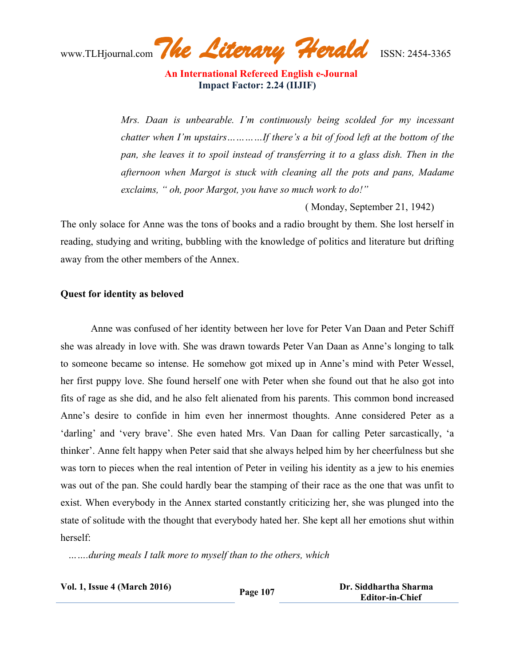www.TLHjournal.com*The Literary Herald*ISSN: 2454-3365

*Mrs. Daan is unbearable. I'm continuously being scolded for my incessant chatter when I'm upstairs…………If there's a bit of food left at the bottom of the pan, she leaves it to spoil instead of transferring it to a glass dish. Then in the afternoon when Margot is stuck with cleaning all the pots and pans, Madame exclaims, " oh, poor Margot, you have so much work to do!"*

( Monday, September 21, 1942)

The only solace for Anne was the tons of books and a radio brought by them. She lost herself in reading, studying and writing, bubbling with the knowledge of politics and literature but drifting away from the other members of the Annex.

## **Quest for identity as beloved**

Anne was confused of her identity between her love for Peter Van Daan and Peter Schiff she was already in love with. She was drawn towards Peter Van Daan as Anne's longing to talk to someone became so intense. He somehow got mixed up in Anne's mind with Peter Wessel, her first puppy love. She found herself one with Peter when she found out that he also got into fits of rage as she did, and he also felt alienated from his parents. This common bond increased Anne's desire to confide in him even her innermost thoughts. Anne considered Peter as a 'darling' and 'very brave'. She even hated Mrs. Van Daan for calling Peter sarcastically, 'a thinker'. Anne felt happy when Peter said that she always helped him by her cheerfulness but she was torn to pieces when the real intention of Peter in veiling his identity as a jew to his enemies was out of the pan. She could hardly bear the stamping of their race as the one that was unfit to exist. When everybody in the Annex started constantly criticizing her, she was plunged into the state of solitude with the thought that everybody hated her. She kept all her emotions shut within herself:

 *…….during meals I talk more to myself than to the others, which*

| <b>Vol. 1, Issue 4 (March 2016)</b> | Page 107 | Dr. Siddhartha Sharma  |
|-------------------------------------|----------|------------------------|
|                                     |          | <b>Editor-in-Chief</b> |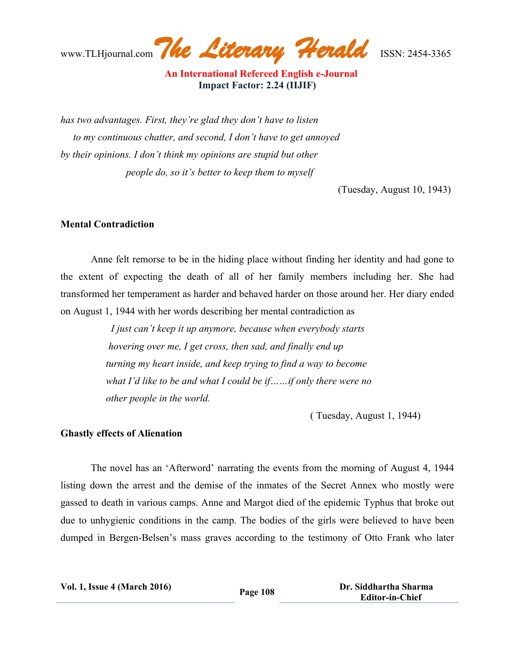www.TLHjournal.com*The Literary Herald*ISSN: 2454-3365

 **An International Refereed English e-Journal Impact Factor: 2.24 (IIJIF)**

*has two advantages. First, they're glad they don't have to listen to my continuous chatter, and second, I don't have to get annoyed by their opinions. I don't think my opinions are stupid but other people do, so it's better to keep them to myself*

(Tuesday, August 10, 1943)

#### **Mental Contradiction**

Anne felt remorse to be in the hiding place without finding her identity and had gone to the extent of expecting the death of all of her family members including her. She had transformed her temperament as harder and behaved harder on those around her. Her diary ended on August 1, 1944 with her words describing her mental contradiction as

> *I just can't keep it up anymore, because when everybody starts hovering over me, I get cross, then sad, and finally end up turning my heart inside, and keep trying to find a way to become what I'd like to be and what I could be if……if only there were no other people in the world.*

> > ( Tuesday, August 1, 1944)

#### **Ghastly effects of Alienation**

The novel has an 'Afterword' narrating the events from the morning of August 4, 1944 listing down the arrest and the demise of the inmates of the Secret Annex who mostly were gassed to death in various camps. Anne and Margot died of the epidemic Typhus that broke out due to unhygienic conditions in the camp. The bodies of the girls were believed to have been dumped in Bergen-Belsen's mass graves according to the testimony of Otto Frank who later